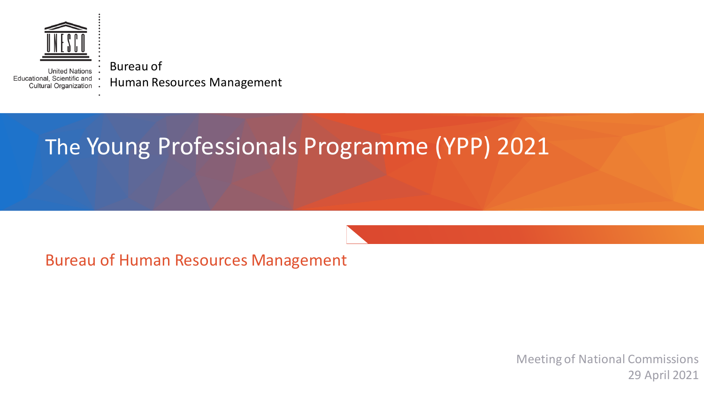

Bureau of **United Nations** Educational, Scientific and Human Resources Management Cultural Organization .

# The Young Professionals Programme (YPP) 2021

Bureau of Human Resources Management

Meeting of National Commissions 29 April 2021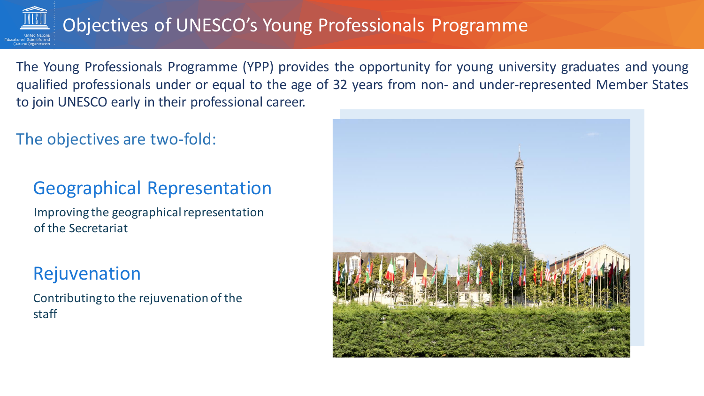

# Objectives of UNESCO's Young Professionals Programme

The Young Professionals Programme (YPP) provides the opportunity for young university graduates and young qualified professionals under or equal to the age of 32 years from non- and under-represented Member States to join UNESCO early in their professional career.

The objectives are two-fold:

## Geographical Representation

Improving the geographical representation of the Secretariat

## Rejuvenation

Contributing to the rejuvenation of the staff

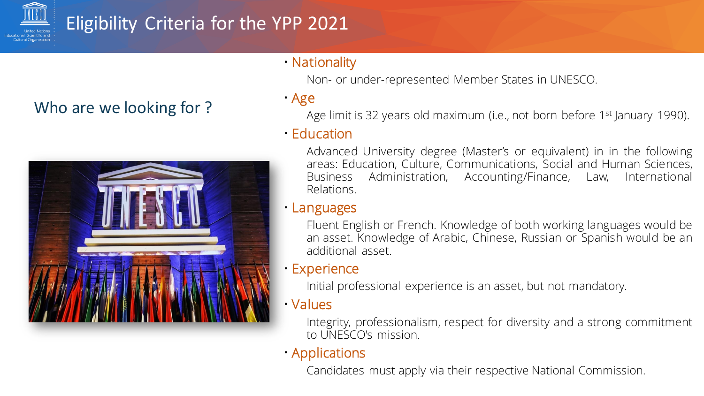

# Eligibility Criteria for the YPP 2021

## Who are we looking for ?



### • Nationality

Non- or under-represented Member States in UNESCO.

• Age

Age limit is 32 years old maximum (i.e., not born before 1<sup>st</sup> January 1990).

#### • Education

Advanced University degree (Master's or equivalent) in in the following areas: Education, Culture, Communications, Social and Human Sciences, Business Administration, Accounting/Finance, Law, International Relations.

#### • Languages

Fluent English or French. Knowledge of both working languages would be an asset. Knowledge of Arabic, Chinese, Russian or Spanish would be an additional asset.

#### • Experience

Initial professional experience is an asset, but not mandatory.

#### • Values

Integrity, professionalism, respect for diversity and a strong commitment to UNESCO's mission.

#### • Applications

Candidates must apply via their respective National Commission.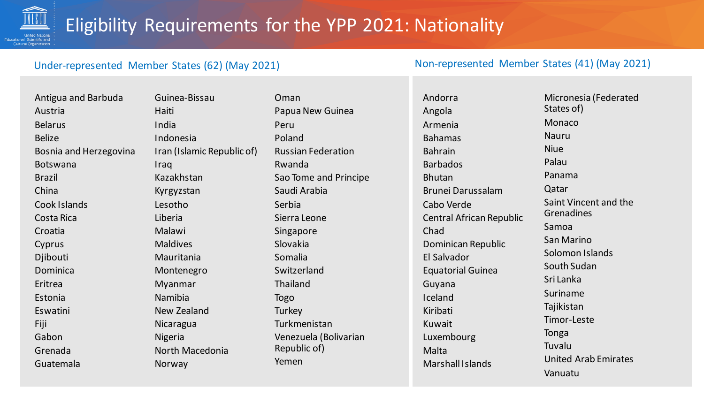

#### Under-represented Member States (62) (May 2021) Non-represented Member States (41) (May 2021)

Guinea-Bissau Haiti India Indonesia Iran (Islamic Republic of) Iraq Kazakhstan Kyrgyzstan Lesotho Liberia Malawi Maldives Mauritania Montenegro Myanmar Namibia New Zealand Nicaragua Nigeria North Macedonia Norway

Oman Papua New Guinea Peru Poland Russian Federation Rwanda Sao Tome and Principe Saudi Arabia Serbia Sierra Leone Singapore Slovakia Somalia Switzerland Thailand Togo **Turkey** Turkmenistan Venezuela (Bolivarian Republic of) Yemen

Andorra Angola Armenia Bahamas Bahrain Barbados Bhutan Brunei Darussalam Cabo Verde Central African Republic Chad Dominican Republic El Salvador Equatorial Guinea Guyana Iceland Kiribati Kuwait Luxembourg Malta Marshall Islands

Micronesia (Federated States of) Monaco Nauru Niue Palau Panama Qatar Saint Vincent and the Grenadines Samoa San Marino Solomon Islands South Sudan Sri Lanka Suriname Tajikistan Timor-Leste Tonga Tuvalu United Arab Emirates Vanuatu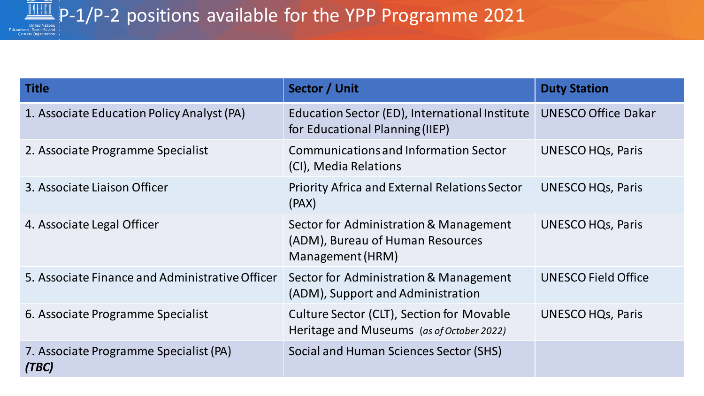

| <b>Title</b>                                    | Sector / Unit                                                                                  | <b>Duty Station</b>        |
|-------------------------------------------------|------------------------------------------------------------------------------------------------|----------------------------|
| 1. Associate Education Policy Analyst (PA)      | Education Sector (ED), International Institute<br>for Educational Planning (IIEP)              | <b>UNESCO Office Dakar</b> |
| 2. Associate Programme Specialist               | <b>Communications and Information Sector</b><br>(CI), Media Relations                          | <b>UNESCO HQs, Paris</b>   |
| 3. Associate Liaison Officer                    | <b>Priority Africa and External Relations Sector</b><br>(PAX)                                  | UNESCO HQs, Paris          |
| 4. Associate Legal Officer                      | Sector for Administration & Management<br>(ADM), Bureau of Human Resources<br>Management (HRM) | <b>UNESCO HQs, Paris</b>   |
| 5. Associate Finance and Administrative Officer | Sector for Administration & Management<br>(ADM), Support and Administration                    | <b>UNESCO Field Office</b> |
| 6. Associate Programme Specialist               | Culture Sector (CLT), Section for Movable<br>Heritage and Museums (as of October 2022)         | UNESCO HQs, Paris          |
| 7. Associate Programme Specialist (PA)<br>(TBC) | Social and Human Sciences Sector (SHS)                                                         |                            |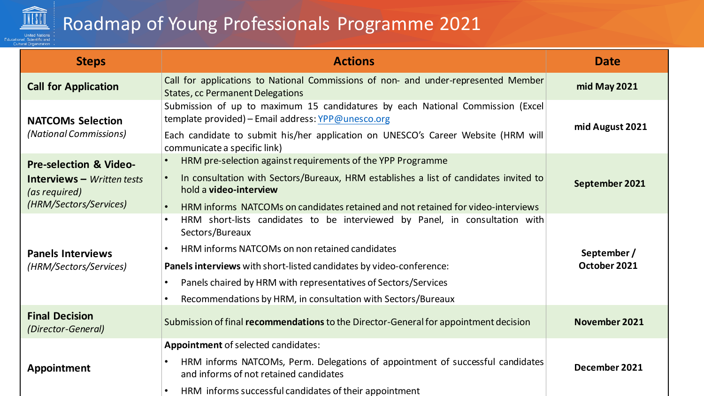

# Roadmap of Young Professionals Programme 2021

| <b>Steps</b>                                                                                                               | <b>Actions</b>                                                                                                                                                                                                                                                                                                                                                                | <b>Date</b>                 |
|----------------------------------------------------------------------------------------------------------------------------|-------------------------------------------------------------------------------------------------------------------------------------------------------------------------------------------------------------------------------------------------------------------------------------------------------------------------------------------------------------------------------|-----------------------------|
| <b>Call for Application</b>                                                                                                | Call for applications to National Commissions of non- and under-represented Member<br><b>States, cc Permanent Delegations</b>                                                                                                                                                                                                                                                 | mid May 2021                |
| <b>NATCOMs Selection</b><br>(National Commissions)                                                                         | Submission of up to maximum 15 candidatures by each National Commission (Excel<br>template provided) - Email address: YPP@unesco.org<br>Each candidate to submit his/her application on UNESCO's Career Website (HRM will<br>communicate a specific link)                                                                                                                     | mid August 2021             |
| <b>Pre-selection &amp; Video-</b><br><b>Interviews</b> $-$ <i>Written tests</i><br>(as required)<br>(HRM/Sectors/Services) | HRM pre-selection against requirements of the YPP Programme<br>In consultation with Sectors/Bureaux, HRM establishes a list of candidates invited to<br>$\bullet$<br>hold a <b>video-interview</b><br>HRM informs NATCOMs on candidates retained and not retained for video-interviews                                                                                        | September 2021              |
| <b>Panels Interviews</b><br>(HRM/Sectors/Services)                                                                         | HRM short-lists candidates to be interviewed by Panel, in consultation with<br>$\bullet$<br>Sectors/Bureaux<br><b>HRM informs NATCOMs on non retained candidates</b><br>Panels interviews with short-listed candidates by video-conference:<br>Panels chaired by HRM with representatives of Sectors/Services<br>Recommendations by HRM, in consultation with Sectors/Bureaux | September /<br>October 2021 |
| <b>Final Decision</b><br>(Director-General)                                                                                | Submission of final recommendations to the Director-General for appointment decision                                                                                                                                                                                                                                                                                          | November 2021               |
| <b>Appointment</b>                                                                                                         | Appointment of selected candidates:<br>HRM informs NATCOMs, Perm. Delegations of appointment of successful candidates<br>and informs of not retained candidates<br>HRM informs successful candidates of their appointment                                                                                                                                                     | December 2021               |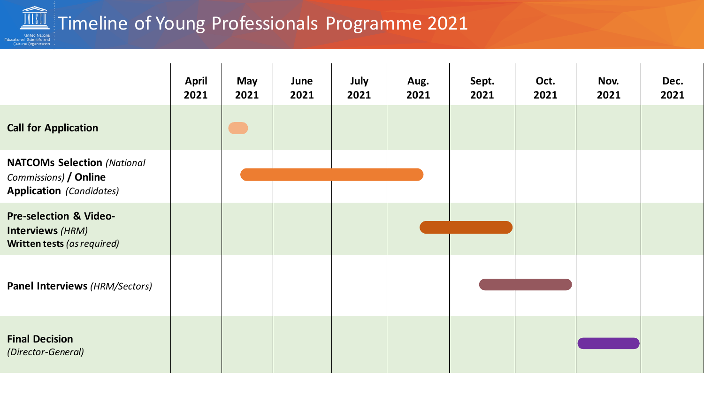### $\sqrt{\frac{2}{100}}$  Timeline of Young Professionals Programme 2021 :<br>+ United Nations<br>+ Educational, Scientific and<br>+ Cultural Organization

|                                                                                                | <b>April</b><br>2021 | May<br>2021 | June<br>2021 | July<br>2021 | Aug.<br>2021 | Sept.<br>2021 | Oct.<br>2021 | Nov.<br>2021 | Dec.<br>2021 |
|------------------------------------------------------------------------------------------------|----------------------|-------------|--------------|--------------|--------------|---------------|--------------|--------------|--------------|
| <b>Call for Application</b>                                                                    |                      |             |              |              |              |               |              |              |              |
| <b>NATCOMs Selection (National</b><br>Commissions) / Online<br><b>Application</b> (Candidates) |                      |             |              |              |              |               |              |              |              |
| <b>Pre-selection &amp; Video-</b><br>Interviews (HRM)<br>Written tests (as required)           |                      |             |              |              |              |               |              |              |              |
| Panel Interviews (HRM/Sectors)                                                                 |                      |             |              |              |              |               |              |              |              |
| <b>Final Decision</b><br>(Director-General)                                                    |                      |             |              |              |              |               |              |              |              |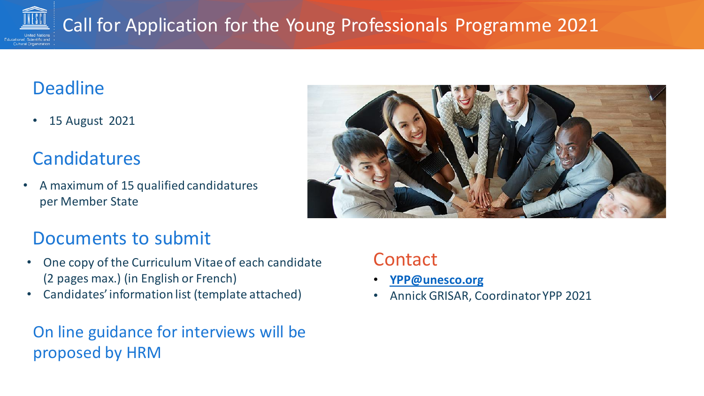

# **Deadline**

• 15 August 2021

## Candidatures

• A maximum of 15 qualified candidatures per Member State



## Documents to submit

- One copy of the Curriculum Vitae of each candidate (2 pages max.) (in English or French)
- Candidates' information list (template attached)

On line guidance for interviews will be proposed by HRM

## **Contact**

- **[YPP@unesco.org](mailto:YPP@unesco.org)**
- Annick GRISAR, Coordinator YPP 2021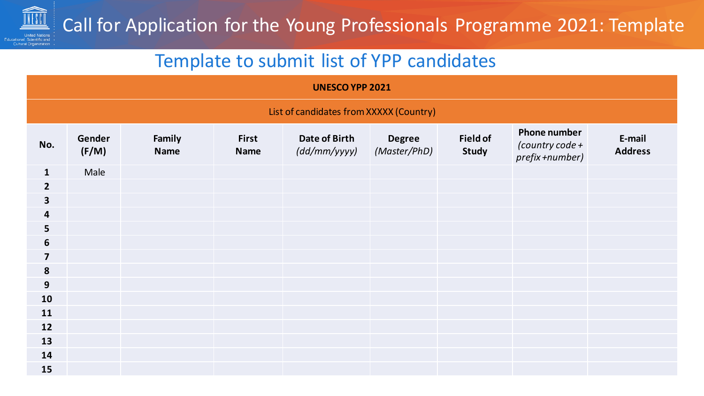

## Template to submit list of YPP candidates

| <b>UNESCO YPP 2021</b>                  |                 |                       |                             |                               |                               |                          |                                                             |                          |
|-----------------------------------------|-----------------|-----------------------|-----------------------------|-------------------------------|-------------------------------|--------------------------|-------------------------------------------------------------|--------------------------|
| List of candidates from XXXXX (Country) |                 |                       |                             |                               |                               |                          |                                                             |                          |
| No.                                     | Gender<br>(F/M) | Family<br><b>Name</b> | <b>First</b><br><b>Name</b> | Date of Birth<br>(dd/mm/yyyy) | <b>Degree</b><br>(Master/PhD) | <b>Field of</b><br>Study | <b>Phone number</b><br>(country code $+$<br>prefix +number) | E-mail<br><b>Address</b> |
| $\mathbf{1}$                            | Male            |                       |                             |                               |                               |                          |                                                             |                          |
| $\overline{2}$                          |                 |                       |                             |                               |                               |                          |                                                             |                          |
| $\overline{\mathbf{3}}$                 |                 |                       |                             |                               |                               |                          |                                                             |                          |
| 4                                       |                 |                       |                             |                               |                               |                          |                                                             |                          |
| 5                                       |                 |                       |                             |                               |                               |                          |                                                             |                          |
| $6\phantom{1}6$                         |                 |                       |                             |                               |                               |                          |                                                             |                          |
| $\overline{\mathbf{z}}$                 |                 |                       |                             |                               |                               |                          |                                                             |                          |
| 8                                       |                 |                       |                             |                               |                               |                          |                                                             |                          |
| $9$                                     |                 |                       |                             |                               |                               |                          |                                                             |                          |
| 10                                      |                 |                       |                             |                               |                               |                          |                                                             |                          |
| 11                                      |                 |                       |                             |                               |                               |                          |                                                             |                          |
| 12                                      |                 |                       |                             |                               |                               |                          |                                                             |                          |
| 13                                      |                 |                       |                             |                               |                               |                          |                                                             |                          |
| 14                                      |                 |                       |                             |                               |                               |                          |                                                             |                          |
| 15                                      |                 |                       |                             |                               |                               |                          |                                                             |                          |